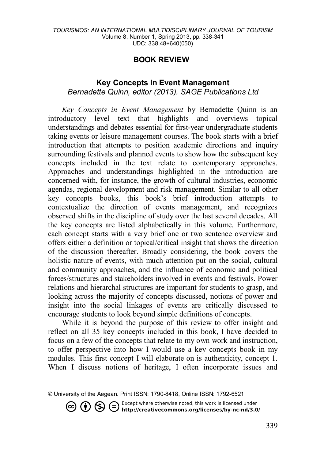## **BOOK REVIEW[1](#page-0-0)**

## **Key Concepts in Event Management** *Bernadette Quinn, editor (2013). SAGE Publications Ltd*

*Key Concepts in Event Management* by Bernadette Quinn is an introductory level text that highlights and overviews topical understandings and debates essential for first-year undergraduate students taking events or leisure management courses. The book starts with a brief introduction that attempts to position academic directions and inquiry surrounding festivals and planned events to show how the subsequent key concepts included in the text relate to contemporary approaches. Approaches and understandings highlighted in the introduction are concerned with, for instance, the growth of cultural industries, economic agendas, regional development and risk management. Similar to all other key concepts books, this book's brief introduction attempts to contextualize the direction of events management, and recognizes observed shifts in the discipline of study over the last several decades. All the key concepts are listed alphabetically in this volume. Furthermore, each concept starts with a very brief one or two sentence overview and offers either a definition or topical/critical insight that shows the direction of the discussion thereafter. Broadly considering, the book covers the holistic nature of events, with much attention put on the social, cultural and community approaches, and the influence of economic and political forces/structures and stakeholders involved in events and festivals. Power relations and hierarchal structures are important for students to grasp, and looking across the majority of concepts discussed, notions of power and insight into the social linkages of events are critically discussed to encourage students to look beyond simple definitions of concepts.

While it is beyond the purpose of this review to offer insight and reflect on all 35 key concepts included in this book, I have decided to focus on a few of the concepts that relate to my own work and instruction, to offer perspective into how I would use a key concepts book in my modules. This first concept I will elaborate on is authenticity, concept 1. When I discuss notions of heritage, I often incorporate issues and

Except where otherwise noted, this work is licensed under<br>http://creativecommons.org/licenses/by-nc-nd/3.0/  $\boldsymbol{\beta}$ 

<span id="page-0-0"></span> $\overline{a}$ © University of the Aegean. Print ISSN: 1790-8418, Online ISSN: 1792-6521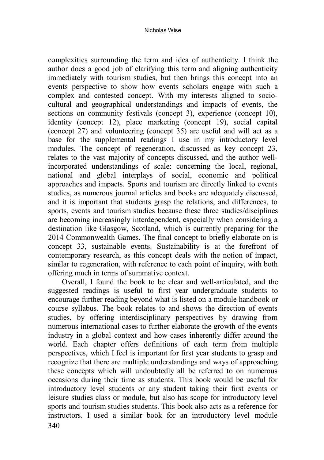complexities surrounding the term and idea of authenticity. I think the author does a good job of clarifying this term and aligning authenticity immediately with tourism studies, but then brings this concept into an events perspective to show how events scholars engage with such a complex and contested concept. With my interests aligned to sociocultural and geographical understandings and impacts of events, the sections on community festivals (concept 3), experience (concept 10), identity (concept 12), place marketing (concept 19), social capital (concept 27) and volunteering (concept 35) are useful and will act as a base for the supplemental readings I use in my introductory level modules. The concept of regeneration, discussed as key concept 23, relates to the vast majority of concepts discussed, and the author wellincorporated understandings of scale: concerning the local, regional, national and global interplays of social, economic and political approaches and impacts. Sports and tourism are directly linked to events studies, as numerous journal articles and books are adequately discussed, and it is important that students grasp the relations, and differences, to sports, events and tourism studies because these three studies/disciplines are becoming increasingly interdependent, especially when considering a destination like Glasgow, Scotland, which is currently preparing for the 2014 Commonwealth Games. The final concept to briefly elaborate on is concept 33, sustainable events. Sustainability is at the forefront of contemporary research, as this concept deals with the notion of impact, similar to regeneration, with reference to each point of inquiry, with both offering much in terms of summative context.

340 Overall, I found the book to be clear and well-articulated, and the suggested readings is useful to first year undergraduate students to encourage further reading beyond what is listed on a module handbook or course syllabus. The book relates to and shows the direction of events studies, by offering interdisciplinary perspectives by drawing from numerous international cases to further elaborate the growth of the events industry in a global context and how cases inherently differ around the world. Each chapter offers definitions of each term from multiple perspectives, which I feel is important for first year students to grasp and recognize that there are multiple understandings and ways of approaching these concepts which will undoubtedly all be referred to on numerous occasions during their time as students. This book would be useful for introductory level students or any student taking their first events or leisure studies class or module, but also has scope for introductory level sports and tourism studies students. This book also acts as a reference for instructors. I used a similar book for an introductory level module